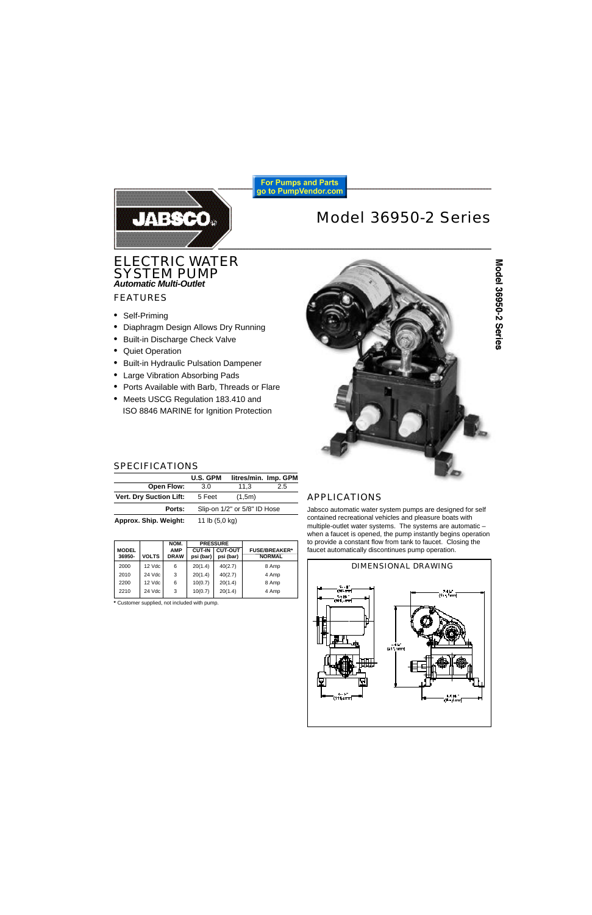

# Model 36950-2 Series

ELECTRIC WATER SYSTEM PUMP *Automatic Multi-Outlet*

# FEATURES

- Self-Priming
- Diaphragm Design Allows Dry Running
- Built-in Discharge Check Valve
- Quiet Operation
- Built-in Hydraulic Pulsation Dampener
- Large Vibration Absorbing Pads
- Ports Available with Barb, Threads or Flare
- Meets USCG Regulation 183.410 and ISO 8846 MARINE for Ignition Protection



# SPECIFICATIONS

|                                | <b>U.S. GPM</b>              |        | litres/min. Imp. GPM |
|--------------------------------|------------------------------|--------|----------------------|
| Open Flow:                     | 3.0                          | 11.3   | 2.5                  |
| <b>Vert. Dry Suction Lift:</b> | 5 Feet                       | (1,5m) |                      |
| Ports:                         | Slip-on 1/2" or 5/8" ID Hose |        |                      |
| Approx. Ship. Weight:          | 11 lb $(5,0 \text{ kg})$     |        |                      |

 **NOM. PRESSURE MODEL AMP CUT-IN CUT-OUT FUSE/BREAKER\***<br>36950- VOLTS DRAW psi (bar) psi (bar) MORMAL **psi (bar)** 2000 | 12 Vdc | 6 | 20(1.4) | 40(2.7) | 8 Amp 2010 24 Vdc 3 20(1.4) 40(2.7) 4 Amp 2200 | 12 Vdc | 6 | 10(0.7) | 20(1.4) | 8 Amp 2210 24 Vdc 3 10(0.7) 20(1.4) 4 Amp

**\*** Customer supplied, not included with pump.

# APPLICATIONS

Jabsco automatic water system pumps are designed for self contained recreational vehicles and pleasure boats with multiple-outlet water systems. The systems are automatic – when a faucet is opened, the pump instantly begins operation to provide a constant flow from tank to faucet. Closing the faucet automatically discontinues pump operation.

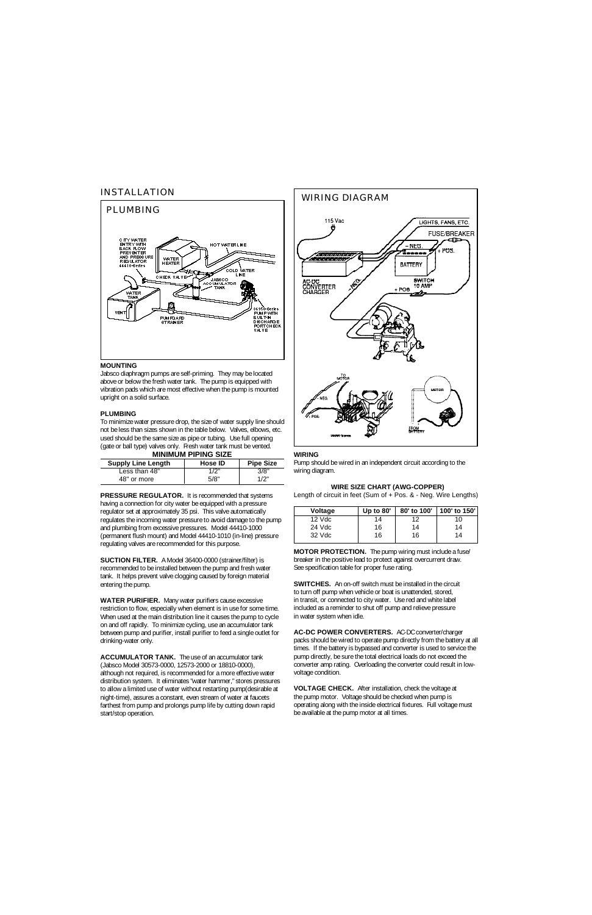# INSTALLATION



#### **MOUNTING**

Jabsco diaphragm pumps are self-priming. They may be located above or below the fresh water tank. The pump is equipped with vibration pads which are most effective when the pump is mounted upright on a solid surface.

# **PLUMBING**

To minimize water pressure drop, the size of water supply line should not be less than sizes shown in the table below. Valves, elbows, etc. used should be the same size as pipe or tubing. Use full opening (gate or ball type) valves only. Fresh water tank must be vented.

|  |  | <b>MINIMUM PIPING SIZE</b> |  |  |
|--|--|----------------------------|--|--|
|  |  |                            |  |  |

| <b>Supply Line Length</b> | <b>Hose ID</b> | <b>Pipe Size</b> |
|---------------------------|----------------|------------------|
| Less than 48"             | 1/2"           | 3/8"             |
| 48" or more               | 5/8"           | 1/2"             |

**PRESSURE REGULATOR.** It is recommended that systems having a connection for city water be equipped with a pressure regulator set at approximately 35 psi. This valve automatically regulates the incoming water pressure to avoid damage to the pump and plumbing from excessive pressures. Model 44410-1000 (permanent flush mount) and Model 44410-1010 (in-line) pressure regulating valves are recommended for this purpose.

**SUCTION FILTER.** A Model 36400-0000 (strainer/filter) is recommended to be installed between the pump and fresh water tank. It helps prevent valve clogging caused by foreign material entering the pump.

**WATER PURIFIER.** Many water purifiers cause excessive restriction to flow, especially when element is in use for some time. When used at the main distribution line it causes the pump to cycle on and off rapidly. To minimize cycling, use an accumulator tank between pump and purifier, install purifier to feed a single outlet for drinking-water only.

**ACCUMULATOR TANK.** The use of an accumulator tank (Jabsco Model 30573-0000, 12573-2000 or 18810-0000), although not required, is recommended for a more effective water distribution system. It eliminates "water hammer," stores pressures to allow a limited use of water without restarting pump(desirable at night-time), assures a constant, even stream of water at faucets farthest from pump and prolongs pump life by cutting down rapid start/stop operation.



#### **WIRING**

Pump should be wired in an independent circuit according to the wiring diagram.

## **WIRE SIZE CHART (AWG-COPPER)**

Length of circuit in feet (Sum of + Pos. & - Neg. Wire Lengths)

| <b>Voltage</b> | Up to $80'$ | 80' to 100' | 100' to 150' |
|----------------|-------------|-------------|--------------|
| $12$ Vdc       | 14          | 12          | 10           |
| 24 Vdc         | 16          | 14          | 14           |
| $32$ Vdc       | 16          | 16          | 14           |

**MOTOR PROTECTION.** The pump wiring must include a fuse/ breaker in the positive lead to protect against overcurrent draw. See specification table for proper fuse rating.

**SWITCHES.** An on-off switch must be installed in the circuit to turn off pump when vehicle or boat is unattended, stored, in transit, or connected to city water. Use red and white label included as a reminder to shut off pump and relieve pressure in water system when idle.

**AC-DC POWER CONVERTERS.** AC-DC converter/charger packs should be wired to operate pump directly from the battery at all times. If the battery is bypassed and converter is used to service the pump directly, be sure the total electrical loads do not exceed the converter amp rating. Overloading the converter could result in lowvoltage condition.

**VOLTAGE CHECK.** After installation, check the voltage at the pump motor. Voltage should be checked when pump is operating along with the inside electrical fixtures. Full voltage must be available at the pump motor at all times.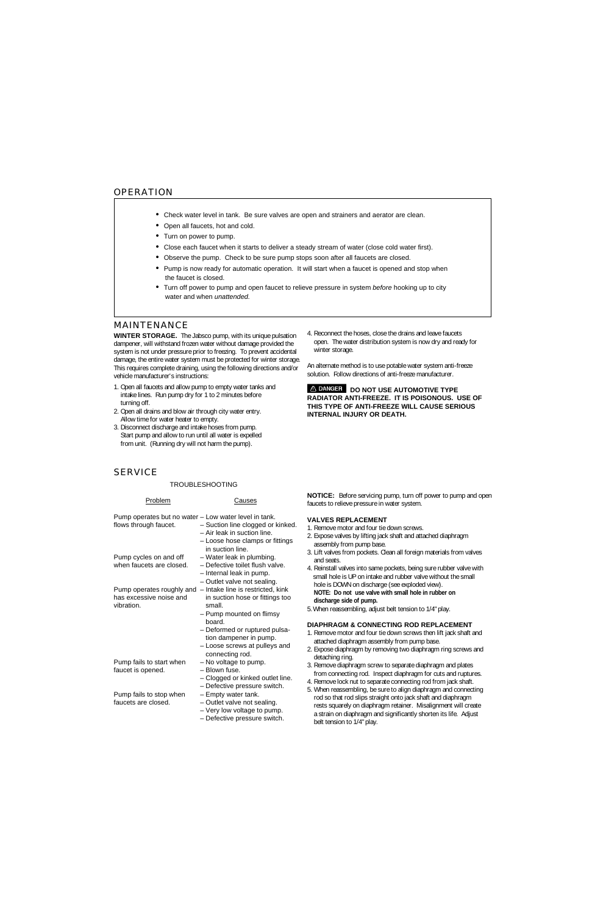- Check water level in tank. Be sure valves are open and strainers and aerator are clean.
- Open all faucets, hot and cold.
- Turn on power to pump.
- Close each faucet when it starts to deliver a steady stream of water (close cold water first).
- Observe the pump. Check to be sure pump stops soon after all faucets are closed.
- Pump is now ready for automatic operation. It will start when a faucet is opened and stop when the faucet is closed.
- Turn off power to pump and open faucet to relieve pressure in system *before* hooking up to city water and when *unattended.*

# MAINTENANCE

**WINTER STORAGE.** The Jabsco pump, with its unique pulsation dampener, will withstand frozen water without damage provided the system is not under pressure prior to freezing. To prevent accidental damage, the entire water system must be protected for winter storage. This requires complete draining, using the following directions and/or vehicle manufacturer's instructions:

- 1. Open all faucets and allow pump to empty water tanks and intake lines. Run pump dry for 1 to 2 minutes before turning off.
- 2. Open all drains and blow air through city water entry. Allow time for water heater to empty.
- 3. Disconnect discharge and intake hoses from pump. Start pump and allow to run until all water is expelled from unit. (Running dry will not harm the pump).

4. Reconnect the hoses, close the drains and leave faucets open. The water distribution system is now dry and ready for winter storage.

An alternate method is to use potable water system anti-freeze solution. Follow directions of anti-freeze manufacturer.

**A DANGER DO NOT USE AUTOMOTIVE TYPE RADIATOR ANTI-FREEZE. IT IS POISONOUS. USE OF THIS TYPE OF ANTI-FREEZE WILL CAUSE SERIOUS INTERNAL INJURY OR DEATH.**

# **SERVICE**

## TROUBLESHOOTING

Problem Causes

Pump operates but no water – Low water level in tank. flows through faucet. – Suction line clogged or kinked. – Air leak in suction line. – Loose hose clamps or fittings in suction line. Pump cycles on and off – Water leak in plumbing.<br>when faucets are closed. – Defective toilet flush values - Defective toilet flush valve. – Internal leak in pump. – Outlet valve not sealing. Pump operates roughly and – Intake line is restricted, kink has excessive noise and in suction hose or fittings too vibration. Small. – Pump mounted on flimsy board. – Deformed or ruptured pulsa tion dampener in pump. – Loose screws at pulleys and connecting rod. Pump fails to start when  $-$  No voltage to pump. faucet is opened. – Blown fuse. – Clogged or kinked outlet line. – Defective pressure switch. Pump fails to stop when – Empty water tank. faucets are closed. – Outlet valve not sealing. – Very low voltage to pump. – Defective pressure switch.

**NOTICE:** Before servicing pump, turn off power to pump and open faucets to relieve pressure in water system.

# **VALVES REPLACEMENT**

- 1. Remove motor and four tie down screws.
- 2. Expose valves by lifting jack shaft and attached diaphragm assembly from pump base.
- 3. Lift valves from pockets. Clean all foreign materials from valves and seats.
- 4. Reinstall valves into same pockets, being sure rubber valve with small hole is UP on intake and rubber valve without the small hole is DOWN on discharge (see exploded view). **NOTE: Do not use valve with small hole in rubber on**

 **discharge side of pump.**

5. When reassembling, adjust belt tension to 1/4" play.

## **DIAPHRAGM & CONNECTING ROD REPLACEMENT**

- 1. Remove motor and four tie down screws then lift jack shaft and attached diaphragm assembly from pump base.
- 2. Expose diaphragm by removing two diaphragm ring screws and detaching ring.
- 3. Remove diaphragm screw to separate diaphragm and plates from connecting rod. Inspect diaphragm for cuts and ruptures.
- 4. Remove lock nut to separate connecting rod from jack shaft.
- 5. When reassembling, be sure to align diaphragm and connecting rod so that rod slips straight onto jack shaft and diaphragm rests squarely on diaphragm retainer. Misalignment will create a strain on diaphragm and significantly shorten its life. Adjust belt tension to 1/4" play.